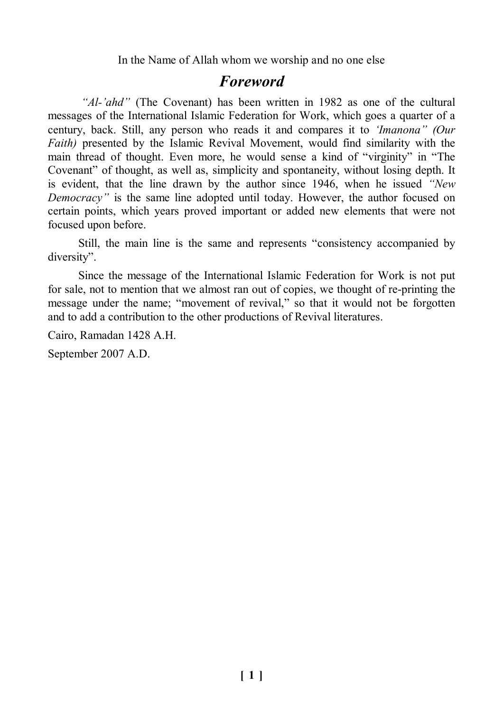In the Name of Allah whom we worship and no one else

## *Foreword*

*"Al-'ahd"* (The Covenant) has been written in 1982 as one of the cultural messages of the International Islamic Federation for Work, which goes a quarter of a century, back. Still, any person who reads it and compares it to *'Imanona" (Our Faith*) presented by the Islamic Revival Movement, would find similarity with the main thread of thought. Even more, he would sense a kind of "virginity" in "The Covenant" of thought, as well as, simplicity and spontaneity, without losing depth. It is evident, that the line drawn by the author since 1946, when he issued *"New Democracy*" is the same line adopted until today. However, the author focused on certain points, which years proved important or added new elements that were not focused upon before.

Still, the main line is the same and represents "consistency accompanied by diversity".

Since the message of the International Islamic Federation for Work is not put for sale, not to mention that we almost ran out of copies, we thought of re-printing the message under the name; "movement of revival," so that it would not be forgotten and to add a contribution to the other productions of Revival literatures.

Cairo, Ramadan 1428 A.H.

September 2007 A.D.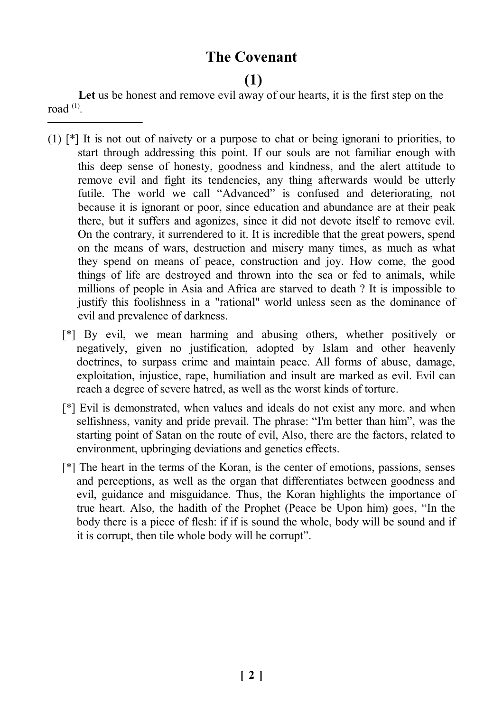## **The Covenant**

## **(1)**

**Let** us be honest and remove evil away of our hearts, it is the first step on the road  $^{(1)}$ .

ـــــــــــــــــــــــــــــــــــــــــــــ

- (1) [\*] It is not out of naivety or a purpose to chat or being ignorani to priorities, to start through addressing this point. If our souls are not familiar enough with this deep sense of honesty, goodness and kindness, and the alert attitude to remove evil and fight its tendencies, any thing afterwards would be utterly futile. The world we call "Advanced" is confused and deteriorating, not because it is ignorant or poor, since education and abundance are at their peak there, but it suffers and agonizes, since it did not devote itself to remove evil. On the contrary, it surrendered to it. It is incredible that the great powers, spend on the means of wars, destruction and misery many times, as much as what they spend on means of peace, construction and joy. How come, the good things of life are destroyed and thrown into the sea or fed to animals, while millions of people in Asia and Africa are starved to death ? It is impossible to justify this foolishness in a "rational" world unless seen as the dominance of evil and prevalence of darkness.
	- [\*] By evil, we mean harming and abusing others, whether positively or negatively, given no justification, adopted by Islam and other heavenly doctrines, to surpass crime and maintain peace. All forms of abuse, damage, exploitation, injustice, rape, humiliation and insult are marked as evil. Evil can reach a degree of severe hatred, as well as the worst kinds of torture.
	- [\*] Evil is demonstrated, when values and ideals do not exist any more. and when selfishness, vanity and pride prevail. The phrase: "I'm better than him", was the starting point of Satan on the route of evil, Also, there are the factors, related to environment, upbringing deviations and genetics effects.
	- [\*] The heart in the terms of the Koran, is the center of emotions, passions, senses and perceptions, as well as the organ that differentiates between goodness and evil, guidance and misguidance. Thus, the Koran highlights the importance of true heart. Also, the hadith of the Prophet (Peace be Upon him) goes, "In the body there is a piece of flesh: if if is sound the whole, body will be sound and if it is corrupt, then tile whole body will he corrupt".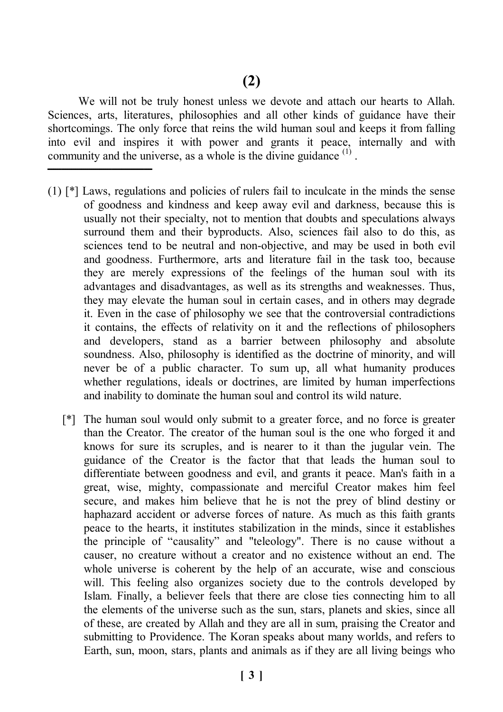We will not be truly honest unless we devote and attach our hearts to Allah. Sciences, arts, literatures, philosophies and all other kinds of guidance have their shortcomings. The only force that reins the wild human soul and keeps it from falling into evil and inspires it with power and grants it peace, internally and with community and the universe, as a whole is the divine guidance  $<sup>(1)</sup>$ .</sup>

**ــــــــــــــــــــــــــــــــــــــــــــــــــــ**

- (1) [\*] Laws, regulations and policies of rulers fail to inculcate in the minds the sense of goodness and kindness and keep away evil and darkness, because this is usually not their specialty, not to mention that doubts and speculations always surround them and their byproducts. Also, sciences fail also to do this, as sciences tend to be neutral and non-objective, and may be used in both evil and goodness. Furthermore, arts and literature fail in the task too, because they are merely expressions of the feelings of the human soul with its advantages and disadvantages, as well as its strengths and weaknesses. Thus, they may elevate the human soul in certain cases, and in others may degrade it. Even in the case of philosophy we see that the controversial contradictions it contains, the effects of relativity on it and the reflections of philosophers and developers, stand as a barrier between philosophy and absolute soundness. Also, philosophy is identified as the doctrine of minority, and will never be of a public character. To sum up, all what humanity produces whether regulations, ideals or doctrines, are limited by human imperfections and inability to dominate the human soul and control its wild nature.
	- [\*] The human soul would only submit to a greater force, and no force is greater than the Creator. The creator of the human soul is the one who forged it and knows for sure its scruples, and is nearer to it than the jugular vein. The guidance of the Creator is the factor that that leads the human soul to differentiate between goodness and evil, and grants it peace. Man's faith in a great, wise, mighty, compassionate and merciful Creator makes him feel secure, and makes him believe that he is not the prey of blind destiny or haphazard accident or adverse forces of nature. As much as this faith grants peace to the hearts, it institutes stabilization in the minds, since it establishes the principle of "causality" and "teleology". There is no cause without a causer, no creature without a creator and no existence without an end. The whole universe is coherent by the help of an accurate, wise and conscious will. This feeling also organizes society due to the controls developed by Islam. Finally, a believer feels that there are close ties connecting him to all the elements of the universe such as the sun, stars, planets and skies, since all of these, are created by Allah and they are all in sum, praising the Creator and submitting to Providence. The Koran speaks about many worlds, and refers to Earth, sun, moon, stars, plants and animals as if they are all living beings who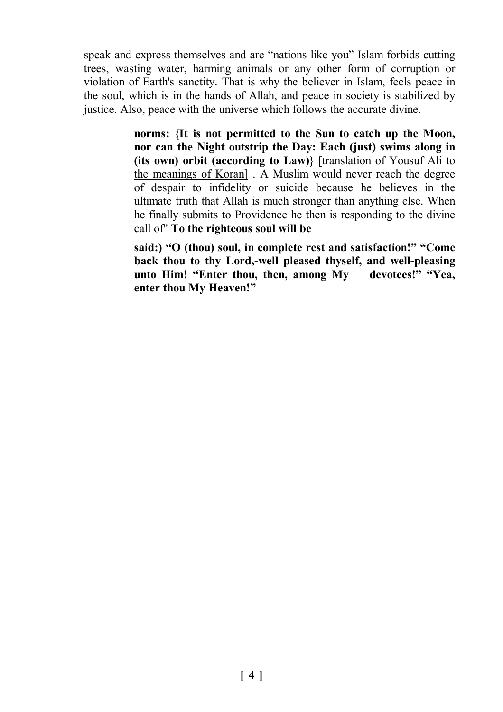speak and express themselves and are "nations like you" Islam forbids cutting trees, wasting water, harming animals or any other form of corruption or violation of Earth's sanctity. That is why the believer in Islam, feels peace in the soul, which is in the hands of Allah, and peace in society is stabilized by justice. Also, peace with the universe which follows the accurate divine.

> **norms: {It is not permitted to the Sun to catch up the Moon, nor can the Night outstrip the Day: Each (just) swims along in (its own) orbit (according to Law)}** [translation of Yousuf Ali to the meanings of Koran] . A Muslim would never reach the degree of despair to infidelity or suicide because he believes in the ultimate truth that Allah is much stronger than anything else. When he finally submits to Providence he then is responding to the divine call of" **To the righteous soul will be**

> **said:) "O (thou) soul, in complete rest and satisfaction!" "Come back thou to thy Lord,-well pleased thyself, and well-pleasing unto Him! "Enter thou, then, among My devotees!" "Yea, enter thou My Heaven!"**